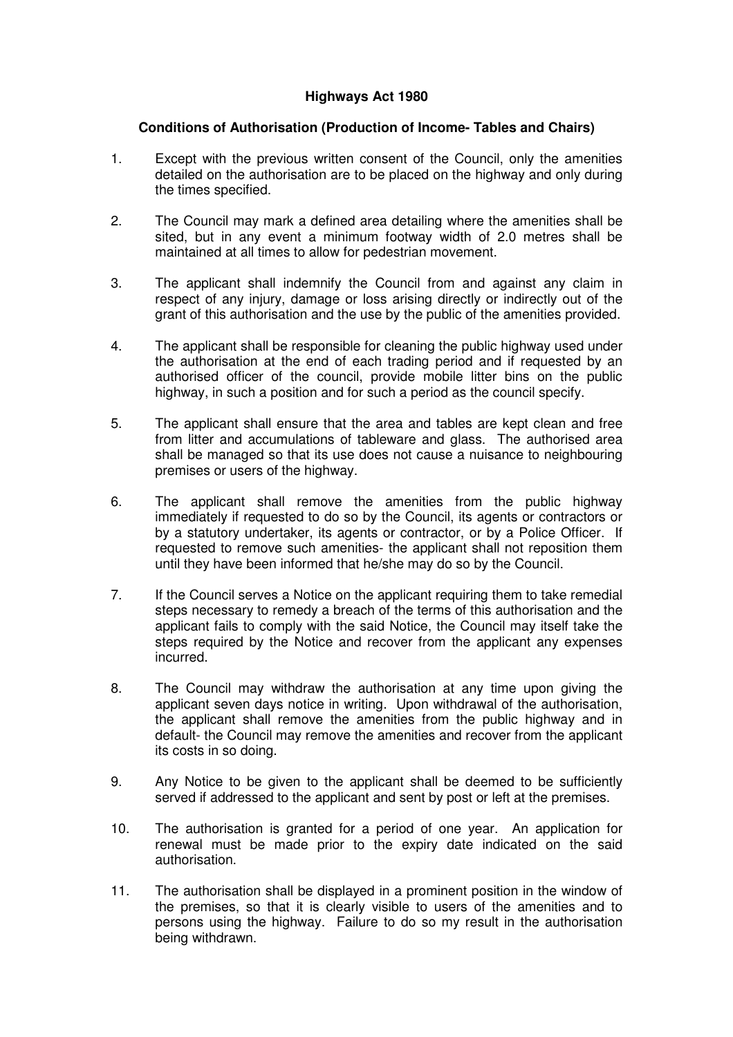## **Highways Act 1980**

## **Conditions of Authorisation (Production of Income- Tables and Chairs)**

- 1. Except with the previous written consent of the Council, only the amenities detailed on the authorisation are to be placed on the highway and only during the times specified.
- 2. The Council may mark a defined area detailing where the amenities shall be sited, but in any event a minimum footway width of 2.0 metres shall be maintained at all times to allow for pedestrian movement.
- 3. The applicant shall indemnify the Council from and against any claim in respect of any injury, damage or loss arising directly or indirectly out of the grant of this authorisation and the use by the public of the amenities provided.
- 4. The applicant shall be responsible for cleaning the public highway used under the authorisation at the end of each trading period and if requested by an authorised officer of the council, provide mobile litter bins on the public highway, in such a position and for such a period as the council specify.
- 5. The applicant shall ensure that the area and tables are kept clean and free from litter and accumulations of tableware and glass. The authorised area shall be managed so that its use does not cause a nuisance to neighbouring premises or users of the highway.
- 6. The applicant shall remove the amenities from the public highway immediately if requested to do so by the Council, its agents or contractors or by a statutory undertaker, its agents or contractor, or by a Police Officer. If requested to remove such amenities- the applicant shall not reposition them until they have been informed that he/she may do so by the Council.
- 7. If the Council serves a Notice on the applicant requiring them to take remedial steps necessary to remedy a breach of the terms of this authorisation and the applicant fails to comply with the said Notice, the Council may itself take the steps required by the Notice and recover from the applicant any expenses incurred.
- 8. The Council may withdraw the authorisation at any time upon giving the applicant seven days notice in writing. Upon withdrawal of the authorisation, the applicant shall remove the amenities from the public highway and in default- the Council may remove the amenities and recover from the applicant its costs in so doing.
- 9. Any Notice to be given to the applicant shall be deemed to be sufficiently served if addressed to the applicant and sent by post or left at the premises.
- 10. The authorisation is granted for a period of one year. An application for renewal must be made prior to the expiry date indicated on the said authorisation.
- 11. The authorisation shall be displayed in a prominent position in the window of the premises, so that it is clearly visible to users of the amenities and to persons using the highway. Failure to do so my result in the authorisation being withdrawn.